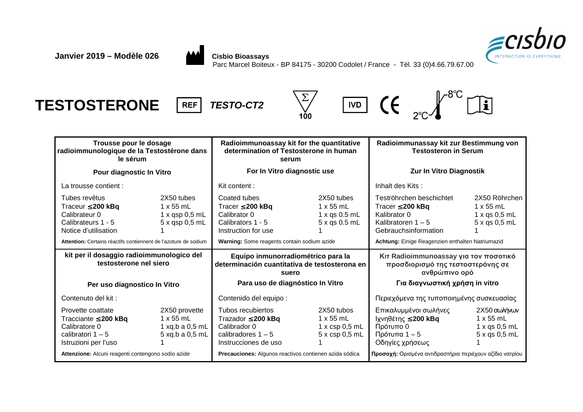



Parc Marcel Boiteux - BP 84175 - 30200 Codolet / France - Tél. 33 (0)4.66.79.67.00

# **TESTOSTERONE REF TESTO-CT2**









| Trousse pour le dosage<br>radioimmunologique de la Testostérone dans<br>le sérum                               |                                                                           | Radioimmunoassay kit for the quantitative<br>determination of Testosterone in human<br>serum                 |                                                                        | Radioimmunassay kit zur Bestimmung von<br><b>Testosteron in Serum</b>                                             |                                                                               |  |
|----------------------------------------------------------------------------------------------------------------|---------------------------------------------------------------------------|--------------------------------------------------------------------------------------------------------------|------------------------------------------------------------------------|-------------------------------------------------------------------------------------------------------------------|-------------------------------------------------------------------------------|--|
| Pour diagnostic In Vitro                                                                                       |                                                                           | For In Vitro diagnostic use                                                                                  |                                                                        | Zur In Vitro Diagnostik                                                                                           |                                                                               |  |
| La trousse contient :                                                                                          |                                                                           | Kit content:                                                                                                 |                                                                        | Inhalt des Kits:                                                                                                  |                                                                               |  |
| Tubes revêtus<br>Traceur $\leq$ 200 kBq<br>Calibrateur 0<br>Calibrateurs 1 - 5<br>Notice d'utilisation         | 2X50 tubes<br>1 x 55 mL<br>1 x qsp 0.5 mL<br>$5x$ qsp 0,5 mL              | Coated tubes<br>Tracer $\leq$ 200 kBq<br>Calibrator 0<br>Calibrators 1 - 5<br>Instruction for use            | 2X50 tubes<br>1 x 55 mL<br>$1 x$ qs 0.5 mL<br>5 x qs 0.5 mL            | Teströhrchen beschichtet<br>Tracer $\leq$ 200 kBq<br>Kalibrator 0<br>Kalibratoren $1 - 5$<br>Gebrauchsinformation | 2X50 Röhrchen<br>1 x 55 mL<br>$1 \times qs$ 0,5 mL<br>$5 \times$ qs $0,5$ mL  |  |
| Attention: Certains réactifs contiennent de l'azoture de sodium                                                |                                                                           | Warning: Some reagents contain sodium azide                                                                  |                                                                        | Achtung: Einige Reagenzien enthalten Natriumazid                                                                  |                                                                               |  |
| kit per il dosaggio radioimmunologico del<br>testosterone nel siero                                            |                                                                           | Equipo inmunorradiométrico para la<br>determinación cuantitativa de testosterona en<br>suero                 |                                                                        | Κιτ Radioimmunoassay για τον ποσοτικό<br>προσδιορισμό της τεστοστερόνης σε<br>ανθρώπινο ορό                       |                                                                               |  |
|                                                                                                                |                                                                           |                                                                                                              |                                                                        |                                                                                                                   |                                                                               |  |
| Per uso diagnostico In Vitro                                                                                   |                                                                           | Para uso de diagnóstico In Vitro                                                                             |                                                                        | Για διαγνωστική χρήση in vitro                                                                                    |                                                                               |  |
| Contenuto del kit:                                                                                             |                                                                           | Contenido del equipo :                                                                                       |                                                                        | Περιεχόμενα της τυποποιημένης συσκευασίας                                                                         |                                                                               |  |
| Provette coattate<br>Tracciante $\leq$ 200 kBq<br>Calibratore 0<br>calibratori $1 - 5$<br>Istruzioni per l'uso | 2X50 provette<br>$1 \times 55$ mL<br>1 xq.b a $0,5$ mL<br>5 xq.b a 0,5 mL | Tubos recubiertos<br>Trazador $\leq$ 200 kBq<br>Calibrador 0<br>calibradores $1 - 5$<br>Instrucciones de uso | 2X50 tubos<br>$1 \times 55$ mL<br>$1 x \csc 0.5 mL$<br>$5x$ csp 0,5 mL | Επικαλυμμένοι σωλήνες<br>Ιχνηθέτης ≤ 200 kBq<br>Πρότυπο 0<br>Πρότυπα 1 – 5<br>Οδηγίες χρήσεως                     | 2Χ50 σωλήνων<br>$1 \times 55$ mL<br>$1 x$ qs $0,5$ mL<br>$5 \times$ qs 0,5 mL |  |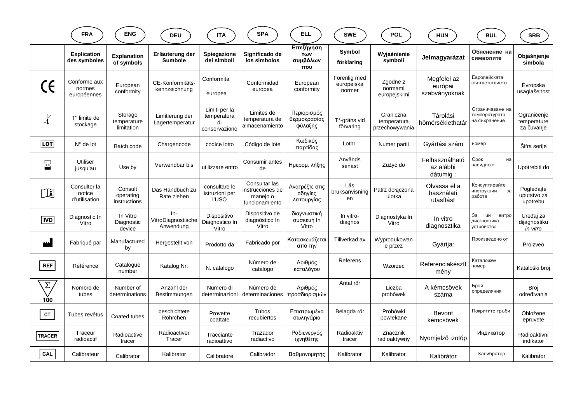|                       | <b>FRA</b>                              | <b>ENG</b>                           | <b>DEU</b>                               | <b>ITA</b>                                          | <b>SPA</b>                                                      | <b>ELL</b>                               | <b>SWE</b>                           | <b>POL</b>                                 | <b>HUN</b>                              | <b>BUL</b>                                        | <b>SRB</b>                               |
|-----------------------|-----------------------------------------|--------------------------------------|------------------------------------------|-----------------------------------------------------|-----------------------------------------------------------------|------------------------------------------|--------------------------------------|--------------------------------------------|-----------------------------------------|---------------------------------------------------|------------------------------------------|
|                       | <b>Explication</b><br>des symboles      | <b>Explanation</b><br>of symbols     | Erläuterung der<br><b>Sumbole</b>        | <b>Spiegazione</b><br>dei simboli                   | Significado de<br>los simbolos                                  | Επεξήγηση<br>Των<br>συμβόλων<br>που      | Symbol<br>förklaring                 | Wyjaśnienie<br>symboli                     | Jelmagyarázat                           | Обяснение на<br>символите                         | Objašnjenje<br>simbola                   |
|                       | Conforme aux<br>normes<br>européennes   | European<br>conformity               | CE-Konformitäts-<br>kennzeichnung        | Conformita<br>europea                               | Conformidad<br>europea                                          | European<br>conformity                   | Förenlig med<br>europeiska<br>normer | Zgodne z<br>normami<br>europejskimi        | Megfelel az<br>európai<br>szabványoknak | Европейската<br>съответствието                    | Evropska<br>usaglašenost                 |
| $\chi$                | $T°$ limite de<br>stockage              | Storage<br>temperature<br>limitation | Limitierung der<br>Lagertemperatur       | Limiti per la<br>temperatura<br>di<br>conservazione | Limites de<br>temperatura de<br>almacenamiento                  | Περιορισμός<br>θερμοκρασίας<br>φύλαξης   | T°-gräns vid<br>förvaring            | Graniczna<br>temperatura<br>przechowywania | Tárolási<br>hőmérséklethatár            | Ограничаване на<br>температурата<br>на съхранение | Ograničenje<br>temperature<br>za čuvanje |
| <b>LOT</b>            | $N^{\circ}$ de lot                      | Batch code                           | Chargencode                              | codice lotto                                        | Código de lote                                                  | Κωδικός<br>παρτίδας                      | Lotnr.                               | Numer partii                               | Gyártási szám                           | номер                                             | Šifra serije                             |
| $\boldsymbol{\Sigma}$ | <b>Utiliser</b><br>jusqu'au             | Use by                               | Verwendbar bis                           | utilizzare entro                                    | Consumir antes<br>de                                            | Ημερομ. λήξης                            | Används<br>senast                    | Zużyć do                                   | Felhasználható<br>az alábbi<br>dátumig: | Срок<br>на<br>валидност                           | Upotrebiti do                            |
| ∐`                    | Consulter la<br>notice<br>d'utilisation | Consult<br>operating<br>instructions | Das Handbuch zu<br>Rate ziehen           | consultare le<br>istruzioni per<br>l'USO            | Consultar las<br>instrucciones de<br>manejo o<br>funcionamiento | Ανατρέξτε στις<br>οδηγίες<br>λειτουργίας | Läs<br>bruksanvisning<br>en          | Patrz dołączona<br>ulotka                  | Olvassa el a<br>használati<br>utasítást | Консултирайте<br>инструкции<br>3a<br>работа       | Pogledaite<br>uputstvo za<br>upotrebu    |
| <b>IVD</b>            | Diagnostic In<br>Vitro                  | In Vitro<br>Diagnostic<br>device     | $In-$<br>VitroDiagnostische<br>Anwendung | Dispositivo<br>Diagnostico In<br>Vitro              | Dispositivo de<br>diagnóstico In<br>Vitro                       | διαγνωστική<br>συσκευή In<br>Vitro       | In vitro-<br>diagnos                 | Diagnostyka In<br>Vitro                    | In vitro<br>diagnosztika                | За<br>ИH<br>витро<br>диагностика<br>устройство    | Uređaj za<br>dijagnostiku<br>in vitro    |
| لفقا                  | Fabriqué par                            | Manufactured<br>by                   | Hergestellt von                          | Prodotto da                                         | Fabricado por                                                   | Κατασκευάζεται<br>από την                | Tillverkad av                        | Wyprodukowan<br>e przez                    | Gyártja:                                | Произведено от                                    | Proizveo                                 |
| <b>REF</b>            | Référence                               | Catalogue<br>number                  | Katalog Nr.                              | N. catalogo                                         | Número de<br>catálogo                                           | Αριθμός<br>καταλόγου                     | Referens                             | Wzorzec                                    | Referenciakészít<br>mény                | Каталожен<br>номер                                | Kataloški broj                           |
| $\Sigma$<br>100       | Nombre de<br>tubes                      | Number of<br>determinations          | Anzahl der<br>Bestimmungen               | Numero di<br>determinazioni                         | Número de<br>determinaciones                                    | Αριθμός<br>προσδιορισμών                 | Antal rör                            | Liczba<br>probówek                         | A kémcsövek<br>száma                    | Брой<br>определяния                               | Broj<br>određivanja                      |
| CT                    | Tubes revêtus                           | Coated tubes                         | beschichtete<br>Röhrchen                 | Provette<br>coattate                                | <b>Tubos</b><br>recubiertos                                     | Επιστρωμένα<br>σωληνάρια                 | Belagda rör                          | Probówki<br>powlekane                      | Bevont<br>kémcsövek                     | Покритите тръби                                   | Obložene<br>epruvete                     |
| <b>TRACER</b>         | Traceur<br>radioactif                   | Radioactive<br>tracer                | Radioactiver<br>Tracer                   | Tracciante<br>radioattivo                           | Trazador<br>radiactivo                                          | Ραδιενεργός<br>ιχνηθέτης                 | Radioaktiv<br>tracer                 | Znacznik<br>radioaktywny                   | Nyomjelző izotóp                        | Индикатор                                         | Radioaktivni<br>indikator                |
| CAL                   | Calibrateur                             | Calibrator                           | Kalibrator                               | Calibratore                                         | Calibrador                                                      | Βαθμονομητής                             | Kalibrator                           | Kalibrator                                 | Kalibrátor                              | Калибратор                                        | Kalibrator                               |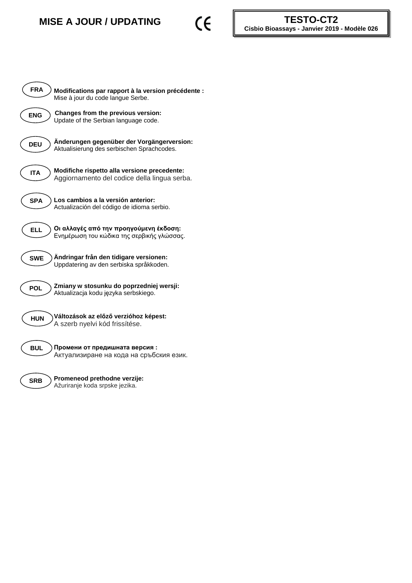## **MISE A JOUR / UPDATING**



| <b>FRA</b><br>Modifications par rapport à la version précédente :<br>Mise à jour du code langue Serbe.     |
|------------------------------------------------------------------------------------------------------------|
| Changes from the previous version:<br><b>ENG</b><br>Update of the Serbian language code.                   |
| Änderungen gegenüber der Vorgängerversion:<br><b>DEU</b><br>Aktualisierung des serbischen Sprachcodes.     |
| Modifiche rispetto alla versione precedente:<br><b>ITA</b><br>Aggiornamento del codice della lingua serba. |
| Los cambios a la versión anterior:<br><b>SPA</b><br>Actualización del código de idioma serbio.             |
| Οι αλλαγές από την προηγούμενη έκδοση:<br><b>ELL</b><br>Ενημέρωση του κώδικα της σερβικής γλώσσας.         |
| Ändringar från den tidigare versionen:<br><b>SWE</b><br>Uppdatering av den serbiska språkkoden.            |
| Zmiany w stosunku do poprzedniej wersji:<br><b>POL</b><br>Aktualizacja kodu języka serbskiego.             |
| Változások az előző verzióhoz képest:<br><b>HUN</b><br>A szerb nyelvi kód frissítése.                      |
| Промени от предишната версия:<br><b>BUL</b><br>Актуализиране на кода на сръбския език.                     |
| Promeneod prethodne verzije:<br><b>SRB</b><br>Ažuriranje koda srpske jezika.                               |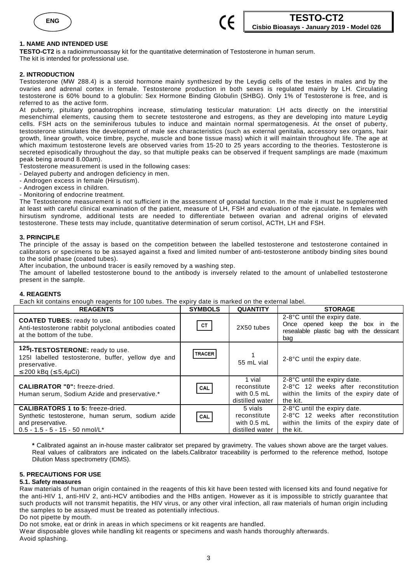



## **1. NAME AND INTENDED USE**

**TESTO-CT2** is a radioimmunoassay kit for the quantitative determination of Testosterone in human serum. The kit is intended for professional use.

## **2. INTRODUCTION**

Testosterone (MW 288.4) is a steroid hormone mainly synthesized by the Leydig cells of the testes in males and by the ovaries and adrenal cortex in female. Testosterone production in both sexes is regulated mainly by LH. Circulating testosterone is 60% bound to a globulin: Sex Hormone Binding Globulin (SHBG). Only 1% of Testosterone is free, and is referred to as the active form.

At puberty, pituitary gonadotrophins increase, stimulating testicular maturation: LH acts directly on the interstitial mesenchimal elements, causing them to secrete testosterone and estrogens, as they are developing into mature Leydig cells. FSH acts on the seminiferous tubules to induce and maintain normal spermatogenesis. At the onset of puberty, testosterone stimulates the development of male sex characteristics (such as external genitalia, accessory sex organs, hair growth, linear growth, voice timbre, psyche, muscle and bone tissue mass) which it will maintain throughout life. The age at which maximum testosterone levels are observed varies from 15-20 to 25 years according to the theories. Testosterone is secreted episodically throughout the day, so that multiple peaks can be observed if frequent samplings are made (maximum peak being around 8.00am).

Testosterone measurement is used in the following cases:

- Delayed puberty and androgen deficiency in men.
- Androgen excess in female (Hirsutism).
- Androgen excess in children.
- Monitoring of endocrine treatment.

The Testosterone measurement is not sufficient in the assessment of gonadal function. In the male it must be supplemented at least with careful clinical examination of the patient, measure of LH, FSH and evaluation of the ejaculate. In females with hirsutism syndrome, additional tests are needed to differentiate between ovarian and adrenal origins of elevated testosterone. These tests may include, quantitative determination of serum cortisol, ACTH, LH and FSH.

## **3. PRINCIPLE**

The principle of the assay is based on the competition between the labelled testosterone and testosterone contained in calibrators or specimens to be assayed against a fixed and limited number of anti-testosterone antibody binding sites bound to the solid phase (coated tubes).

After incubation, the unbound tracer is easily removed by a washing step.

The amount of labelled testosterone bound to the antibody is inversely related to the amount of unlabelled testosterone present in the sample.

## **4. REAGENTS**

Each kit contains enough reagents for 100 tubes. The expiry date is marked on the external label.

| <b>REAGENTS</b>                                                                                                                                         | <b>SYMBOLS</b> | <b>QUANTITY</b>                                            | <b>STORAGE</b>                                                                                                             |
|---------------------------------------------------------------------------------------------------------------------------------------------------------|----------------|------------------------------------------------------------|----------------------------------------------------------------------------------------------------------------------------|
| <b>COATED TUBES:</b> ready to use.<br>Anti-testosterone rabbit polyclonal antibodies coated<br>at the bottom of the tube.                               | <b>CT</b>      | 2X50 tubes                                                 | 2-8°C until the expiry date.<br>Once opened keep the box in the<br>resealable plastic bag with the dessicant<br>bag        |
| 125I-TESTOSTERONE: ready to use.<br>125I labelled testosterone, buffer, yellow dye and<br>preservative.<br>$\leq$ 200 kBq ( $\leq$ 5,4µCi)              | <b>TRACER</b>  | 55 mL vial                                                 | 2-8°C until the expiry date.                                                                                               |
| <b>CALIBRATOR "0": freeze-dried.</b><br>Human serum, Sodium Azide and preservative.*                                                                    | CAL            | 1 vial<br>reconstitute<br>with $0.5$ mL<br>distilled water | 2-8°C until the expiry date.<br>2-8°C 12 weeks after reconstitution<br>within the limits of the expiry date of<br>the kit. |
| <b>CALIBRATORS 1 to 5: freeze-dried.</b><br>Synthetic testosterone, human serum, sodium azide<br>and preservative.<br>$0.5 - 1.5 - 5 - 15 - 50$ nmol/L* | CAL            | 5 vials<br>reconstitute<br>with 0.5 mL<br>distilled water  | 2-8°C until the expiry date.<br>2-8°C 12 weeks after reconstitution<br>within the limits of the expiry date of<br>the kit. |

**\*** Calibrated against an in-house master calibrator set prepared by gravimetry. The values shown above are the target values. Real values of calibrators are indicated on the labels.Calibrator traceability is performed to the reference method, Isotope Dilution Mass spectrometry (IDMS).

## **5. PRECAUTIONS FOR USE**

#### **5.1. Safety measures**

Raw materials of human origin contained in the reagents of this kit have been tested with licensed kits and found negative for the anti-HIV 1, anti-HIV 2, anti-HCV antibodies and the HBs antigen. However as it is impossible to strictly guarantee that such products will not transmit hepatitis, the HIV virus, or any other viral infection, all raw materials of human origin including the samples to be assayed must be treated as potentially infectious.

Do not pipette by mouth.

Do not smoke, eat or drink in areas in which specimens or kit reagents are handled.

Wear disposable gloves while handling kit reagents or specimens and wash hands thoroughly afterwards. Avoid splashing.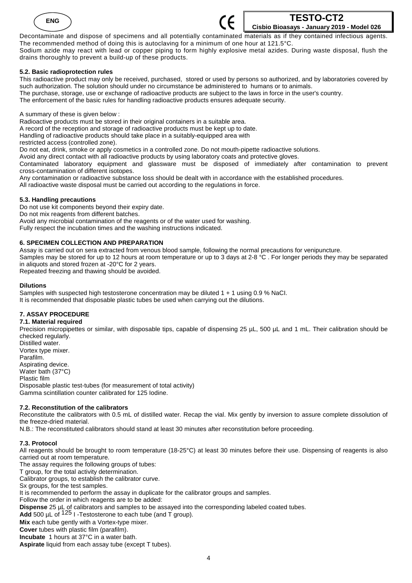



Decontaminate and dispose of specimens and all potentially contaminated materials as if they contained infectious agents. The recommended method of doing this is autoclaving for a minimum of one hour at 121.5°C. Sodium azide may react with lead or copper piping to form highly explosive metal azides. During waste disposal, flush the drains thoroughly to prevent a build-up of these products.

## **5.2. Basic radioprotection rules**

This radioactive product may only be received, purchased, stored or used by persons so authorized, and by laboratories covered by such authorization. The solution should under no circumstance be administered to humans or to animals. The purchase, storage, use or exchange of radioactive products are subject to the laws in force in the user's country. The enforcement of the basic rules for handling radioactive products ensures adequate security.

A summary of these is given below :

Radioactive products must be stored in their original containers in a suitable area.

A record of the reception and storage of radioactive products must be kept up to date.

Handling of radioactive products should take place in a suitably-equipped area with

restricted access (controlled zone).

Do not eat, drink, smoke or apply cosmetics in a controlled zone. Do not mouth-pipette radioactive solutions.

Avoid any direct contact with all radioactive products by using laboratory coats and protective gloves.

Contaminated laboratory equipment and glassware must be disposed of immediately after contamination to prevent cross-contamination of different isotopes.

Any contamination or radioactive substance loss should be dealt with in accordance with the established procedures.

All radioactive waste disposal must be carried out according to the regulations in force.

## **5.3. Handling precautions**

Do not use kit components beyond their expiry date. Do not mix reagents from different batches. Avoid any microbial contamination of the reagents or of the water used for washing. Fully respect the incubation times and the washing instructions indicated.

## **6. SPECIMEN COLLECTION AND PREPARATION**

Assay is carried out on sera extracted from venous blood sample, following the normal precautions for venipuncture. Samples may be stored for up to 12 hours at room temperature or up to 3 days at 2-8 °C . For longer periods they may be separated in aliquots and stored frozen at -20°C for 2 years. Repeated freezing and thawing should be avoided.

## **Dilutions**

Samples with suspected high testosterone concentration may be diluted 1 + 1 using 0.9 % NaCI. It is recommended that disposable plastic tubes be used when carrying out the dilutions.

## **7. ASSAY PROCEDURE**

## **7.1. Material required**

Precision micropipettes or similar, with disposable tips, capable of dispensing 25 µL, 500 µL and 1 mL. Their calibration should be checked regularly.

Distilled water. Vortex type mixer. Parafilm. Aspirating device. Water bath (37°C) Plastic film Disposable plastic test-tubes (for measurement of total activity) Gamma scintillation counter calibrated for 125 Iodine.

## **7.2. Reconstitution of the calibrators**

Reconstitute the calibrators with 0.5 mL of distilled water. Recap the vial. Mix gently by inversion to assure complete dissolution of the freeze-dried material.

N.B.: The reconstituted calibrators should stand at least 30 minutes after reconstitution before proceeding.

## **7.3. Protocol**

All reagents should be brought to room temperature (18-25°C) at least 30 minutes before their use. Dispensing of reagents is also carried out at room temperature.

The assay requires the following groups of tubes:

T group, for the total activity determination.

Calibrator groups, to establish the calibrator curve.

Sx groups, for the test samples.

It is recommended to perform the assay in duplicate for the calibrator groups and samples.

Follow the order in which reagents are to be added:

**Dispense** 25 µL of calibrators and samples to be assayed into the corresponding labeled coated tubes.

Add 500 µL of <sup>125</sup> I -Testosterone to each tube (and T group).

**Mix** each tube gently with a Vortex-type mixer.

**Cover** tubes with plastic film (parafilm).

**Incubate** 1 hours at 37°C in a water bath.

Aspirate liquid from each assay tube (except T tubes).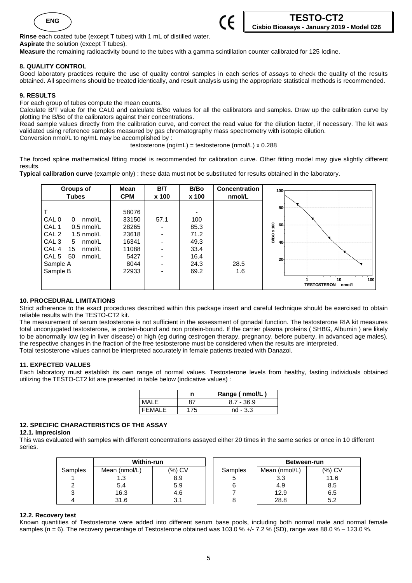



**Rinse** each coated tube (except T tubes) with 1 mL of distilled water. **Aspirate** the solution (except T tubes).

**Measure** the remaining radioactivity bound to the tubes with a gamma scintillation counter calibrated for 125 Iodine.

## **8. QUALITY CONTROL**

Good laboratory practices require the use of quality control samples in each series of assays to check the quality of the results obtained. All specimens should be treated identically, and result analysis using the appropriate statistical methods is recommended.

## **9. RESULTS**

For each group of tubes compute the mean counts.

Calculate B/T value for the CAL0 and calculate B/Bo values for all the calibrators and samples. Draw up the calibration curve by plotting the B/Bo of the calibrators against their concentrations.

Read sample values directly from the calibration curve, and correct the read value for the dilution factor, if necessary. The kit was validated using reference samples measured by gas chromatography mass spectrometry with isotopic dilution. Conversion nmol/L to ng/mL may be accomplished by :

testosterone (ng/mL) = testosterone (nmol/L) x 0.288

The forced spline mathematical fitting model is recommended for calibration curve. Other fitting model may give slightly different results.

**Typical calibration curve** (example only) : these data must not be substituted for results obtained in the laboratory.

| <b>Groups of</b>                                                                                                                                                                                                | Mean                                                                        | <b>B/T</b>                                                                                              | B/Bo                                                        | <b>Concentration</b> | 100 <sub>1</sub>                                                                                  |
|-----------------------------------------------------------------------------------------------------------------------------------------------------------------------------------------------------------------|-----------------------------------------------------------------------------|---------------------------------------------------------------------------------------------------------|-------------------------------------------------------------|----------------------|---------------------------------------------------------------------------------------------------|
| <b>Tubes</b>                                                                                                                                                                                                    | <b>CPM</b>                                                                  | x 100                                                                                                   | x 100                                                       | nmol/L               |                                                                                                   |
| CAL 0<br>nmol/L<br>0<br>CAL <sub>1</sub><br>$0.5$ nmol/L<br>CAL <sub>2</sub><br>1.5 nmol/L<br>CAL <sub>3</sub><br>nmol/L<br>5<br>CAL <sub>4</sub><br>15<br>nmol/L<br>CAL 5 50<br>nmol/L<br>Sample A<br>Sample B | 58076<br>33150<br>28265<br>23618<br>16341<br>11088<br>5427<br>8044<br>22933 | 57.1<br>٠<br>٠<br>$\overline{\phantom{0}}$<br>$\overline{\phantom{0}}$<br>$\overline{\phantom{0}}$<br>۰ | 100<br>85.3<br>71.2<br>49.3<br>33.4<br>16.4<br>24.3<br>69.2 | 28.5<br>1.6          | $80 -$<br>ģ<br>60<br>B/BO x<br>40<br>20 <sup>°</sup><br>100<br>10<br><b>TESTOSTERON</b><br>nmol/l |

## **10. PROCEDURAL LIMITATIONS**

Strict adherence to the exact procedures described within this package insert and careful technique should be exercised to obtain reliable results with the TESTO-CT2 kit.

The measurement of serum testosterone is not sufficient in the assessment of gonadal function. The testosterone RIA kit measures total unconjugated testosterone, ie protein-bound and non protein-bound. If the carrier plasma proteins ( SHBG, Albumin ) are likely to be abnormally low (eg in liver disease) or high (eg during œstrogen therapy, pregnancy, before puberty, in advanced age males), the respective changes in the fraction of the free testosterone must be considered when the results are interpreted. Total testosterone values cannot be interpreted accurately in female patients treated with Danazol.

## **11. EXPECTED VALUES**

Each laboratory must establish its own range of normal values. Testosterone levels from healthy, fasting individuals obtained utilizing the TESTO-CT2 kit are presented in table below (indicative values) :

|               | Range (nmol/L) |
|---------------|----------------|
| MALE          | $8.7 - 36.9$   |
| <b>FFMALE</b> | $nd - 3.3$     |

## **12. SPECIFIC CHARACTERISTICS OF THE ASSAY**

**12.1. Imprecision** 

This was evaluated with samples with different concentrations assayed either 20 times in the same series or once in 10 different series.

|                | Within-run    |        |         | Between-run   |        |
|----------------|---------------|--------|---------|---------------|--------|
| <b>Samples</b> | Mean (nmol/L) | (%) CV | Samples | Mean (nmol/L) | (%) CV |
|                | l .3          | 8.9    | ວ       | 3.3           | 11.6   |
|                | 5.4           | 5.9    |         | 4.9           | 8.5    |
|                | 16.3          | 4.6    |         | 12.9          | 6.5    |
|                | 31.6          | ا . ت  |         | 28.8          | 5.2    |

## **12.2. Recovery test**

Known quantities of Testosterone were added into different serum base pools, including both normal male and normal female samples (n = 6). The recovery percentage of Testosterone obtained was 103.0 % +/- 7.2 % (SD), range was 88.0 % – 123.0 %.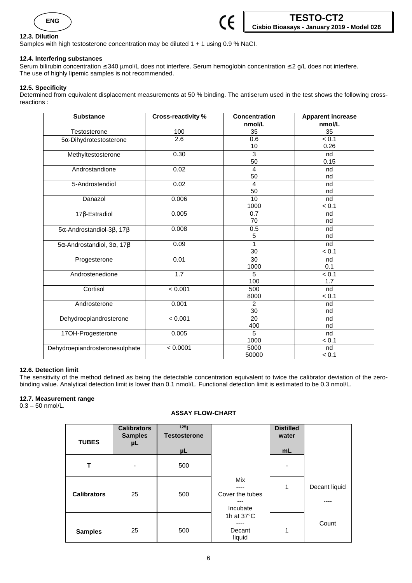

## **12.3. Dilution**

Samples with high testosterone concentration may be diluted 1 + 1 using 0.9 % NaCI.

## **12.4. Interfering substances**

Serum bilirubin concentration ≤ 340 µmol/L does not interfere. Serum hemoglobin concentration ≤ 2 g/L does not interfere. The use of highly lipemic samples is not recommended.

## **12.5. Specificity**

Determined from equivalent displacement measurements at 50 % binding. The antiserum used in the test shows the following crossreactions :

| <b>Substance</b>                                  | <b>Cross-reactivity %</b> | <b>Concentration</b><br>nmol/L | <b>Apparent increase</b><br>nmol/L |
|---------------------------------------------------|---------------------------|--------------------------------|------------------------------------|
| Testosterone                                      | 100                       | 35                             | 35                                 |
| $5\alpha$ -Dihydrotestosterone                    | 2.6                       | 0.6                            | < 0.1                              |
|                                                   |                           | 10                             | 0.26                               |
| Methyltestosterone                                | 0.30                      | 3                              | nd                                 |
|                                                   |                           | 50                             | 0.15                               |
| Androstandione                                    | 0.02                      | 4                              | nd                                 |
|                                                   |                           | 50                             | nd                                 |
| 5-Androstendiol                                   | 0.02                      | 4                              | nd                                 |
|                                                   |                           | 50                             | nd                                 |
| Danazol                                           | 0.006                     | 10                             | nd                                 |
|                                                   |                           | 1000                           | < 0.1                              |
| $17\beta$ -Estradiol                              | 0.005                     | 0.7                            | nd                                 |
|                                                   |                           | 70                             | nd                                 |
| $5\alpha$ -Androstandiol-3 $\beta$ , 17 $\beta$   | 0.008                     | 0.5                            | nd                                 |
|                                                   |                           | 5                              | nd                                 |
| $5\alpha$ -Androstandiol, 3 $\alpha$ , 17 $\beta$ | 0.09                      | 1                              | nd                                 |
|                                                   |                           | 30                             | < 0.1                              |
| Progesterone                                      | 0.01                      | $\overline{30}$                | nd                                 |
|                                                   |                           | 1000                           | 0.1                                |
| Androstenedione                                   | 1.7                       | 5                              | < 0.1                              |
|                                                   |                           | 100                            | 1.7                                |
| Cortisol                                          | < 0.001                   | 500                            | nd                                 |
|                                                   |                           | 8000                           | < 0.1                              |
| Androsterone                                      | 0.001                     | 2                              | nd                                 |
|                                                   |                           | 30                             | nd                                 |
| Dehydroepiandrosterone                            | < 0.001                   | $\overline{20}$                | nd                                 |
|                                                   |                           | 400                            | nd                                 |
| 17OH-Progesterone                                 | 0.005                     | 5                              | nd                                 |
|                                                   |                           | 1000                           | < 0.1                              |
| Dehydroepiandrosteronesulphate                    | < 0.0001                  | 5000                           | nd                                 |
|                                                   |                           | 50000                          | < 0.1                              |

## **12.6. Detection limit**

The sensitivity of the method defined as being the detectable concentration equivalent to twice the calibrator deviation of the zerobinding value. Analytical detection limit is lower than 0.1 nmol/L. Functional detection limit is estimated to be 0.3 nmol/L.

## **12.7. Measurement range**

0.3 – 50 nmol/L.

## **ASSAY FLOW-CHART**

| <b>TUBES</b>       | <b>Calibrators</b><br><b>Samples</b><br>μL | 125<br><b>Testosterone</b><br>μL |                                           | <b>Distilled</b><br>water<br>mL |                       |
|--------------------|--------------------------------------------|----------------------------------|-------------------------------------------|---------------------------------|-----------------------|
| Т                  | $\overline{\phantom{0}}$                   | 500                              |                                           | -                               |                       |
| <b>Calibrators</b> | 25                                         | 500                              | Mix<br>Cover the tubes<br>---<br>Incubate | 1                               | Decant liquid<br>---- |
| <b>Samples</b>     | 25                                         | 500                              | 1h at $37^{\circ}$ C<br>Decant<br>liquid  | 1                               | Count                 |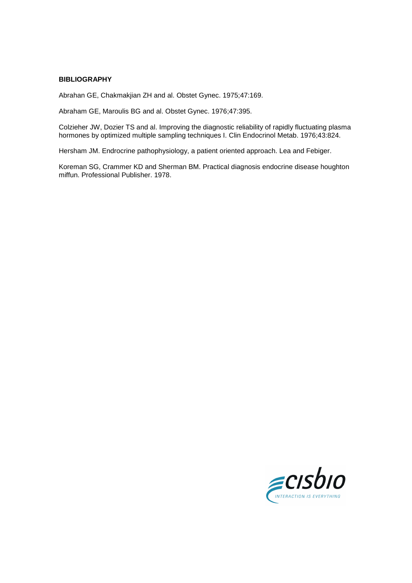## **BIBLIOGRAPHY**

Abrahan GE, Chakmakjian ZH and al. Obstet Gynec. 1975;47:169.

Abraham GE, Maroulis BG and al. Obstet Gynec. 1976;47:395.

Colzieher JW, Dozier TS and al. Improving the diagnostic reliability of rapidly fluctuating plasma hormones by optimized multiple sampling techniques I. Clin Endocrinol Metab. 1976;43:824.

Hersham JM. Endrocrine pathophysiology, a patient oriented approach. Lea and Febiger.

Koreman SG, Crammer KD and Sherman BM. Practical diagnosis endocrine disease houghton miffun. Professional Publisher. 1978.

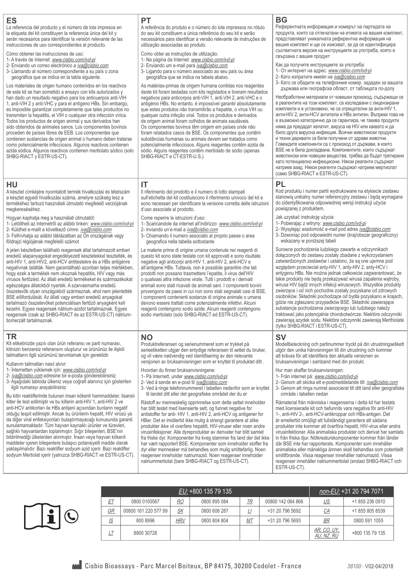#### **ES**

La referencia del producto y el número de lote impresos en la etiqueta del kit constituyen la referencia única del kit y serán necesarios para identificar la versión relevante de las instrucciones de uso correspondientes al producto.

Cómo obtener las instrucciones de uso:

- 1- A través de Internet: www.cisbio.com/ivd-pi
- 2- Enviando un correo electrónico a iva@cisbio.com
- 3- Llamando al número correspondiente a su país o zona geográfica que se indica en la tabla siguiente.

Los materiales de origen humano contenidos en los reactivos de este kit se han sometido a ensayo con kits autorizados y han dado un resultado negativo para los anticuerpos anti-VIH 1, anti-VIH 2 y anti-VHC y para el antígeno HBs. Sin embargo, es imposible garantizar completamente que tales productos no transmitan la hepatitis, el VIH o cualquier otra infección vírica. Todos los productos de origen animal y sus derivados han sido obtenidos de animales sanos. Los componentes bovinos proceden de países libres de EEB. Los componentes que contienen sustancias de origen animal o humano deben tratarse como potencialmente infecciosos. Algunos reactivos contienen azida sódica. Algunos reactivos contienen mertiolato sódico (solo SHBG-RIACT y ESTR-US-CT).

#### **HU**

A készlet címkéjére nyomtatott termék hivatkozási és tételszám a készlet egyedi hivatkozási száma, amelyre szükség lesz a termékéhez tartozó használati útmutató megfelelő verziójának megkereséséhez .

Hogyan kaphatja meg a használati útmutatót:

- 1- Letöltheti az internetről az alábbi linken: www.cisbio.com/ivd-pi
- 2- Küldhet e-mailt a következő címre: *iva@cisbio.com* 3- Felhívhatia az alábbi táblázatban az Ön országának vagy
- földrajzi régiójának megfelelő számot

A jelen készletben található reagensek által tartalmazott emberi eredetű alapanyagokat engedélyezett készletekkel tesztelték, és anti-HIV 1, anti-HIV2, anti-HCV antitestekre és a HBs antigénre negatívnak találták. Nem garantálható azonban teljes mértékben, hogy ezek a termékek nem okoznak hepatitis, HIV vagy más vírusos fertőzést. Az állati eredetű termékeket és származékokat egészséges állatokból nyerték. A szarvasmarha eredetű összetevők olyan országokból származnak, ahol nem jelentették BSE előfordulását. Az állati vagy emberi eredetű anyagokat tartalmazó összetevőket potenciálisan fertőző anyagként kell kezelni. Egyes reagensek nátrium-azidot tartalmaznak. Egyes reagensek (csak az SHBG-RIACT és az ESTR-US-CT) nátriumtiomerzált tartalmaznak.

#### **TR**

Kit etiketinizde yazılı olan ürün referansı ve parti numarası, kitinizin benzersiz referansını oluşturur ve ürününüz ile ilişkili talimatların ilgili sürümünü tanımlamak için gereklidir.

Kullanım talimatları nasıl alınır:

- 1- İnternetten yüklemek için: www.cisbio.com/ivd-pi
- 2- iva@cisbio.com adresine bir e-posta gönderebilirsiniz 3- Aşağıdaki tabloda ülkeniz veya coğrafi alanınız için gösterilen
- ilgili numarayı arayabilirsiniz

Bu kitin reaktiflerinde bulunan insan kökenli hammaddeler, lisanslı kitler ile test edilmiştir ve bu kitlerin anti-HIV 1, anti-HIV 2 ve anti-HCV antikorları ile HBs antijeni açısından bunların negatif olduğu tespit edilmiştir. Ancak bu ürünlerin hepatit, HIV virüsü ya da diğer viral enfeksiyonları bulaştırmayacağı konusunda garanti sunulamamaktadır. Tüm hayvan kaynaklı ürünler ve türevleri, sağlıklı hayvanlardan toplanmıştır. Sığır bileşenleri, BSE'nin bildirilmediği ülkelerden alınmıştır. İnsan veya hayvan kökenli maddeler içeren bileşenlere bulaşıcı potansiyelli madde olarak yaklaşılmalıdır. Bazı reaktifler sodyum azid içerir. Bazı reaktifler sodyum Mertiolat içerir (yalnızca SHBG-RIACT ve ESTR-US-CT).

#### **PT**

A referência do produto e o número do lote impressos no rótulo do seu kit constituem a única referência do seu kit e serão necessários para identificar a versão relevante de instruções de utilização associadas ao produto.

- Como obter as instruções de utilização:
- 1- Na página da Internet: www.cisbio.com/ivd-pi
- 2- Enviando um e-mail para *iva@cisbio.com*
- 3- Ligando para o número associado ao seu país ou área geográfica que se indica na tabela abaixo.

As matérias-primas de origem humana contidas nos reagentes deste kit foram testadas com kits registados e tiveram resultados negativos para anticorpos anti-VIH 1, anti-VIH 2, anti-VHC e o antigénio HBs. No entanto, é impossível garantir absolutamente que estes produtos não transmitirão a hepatite, o vírus VIH ou qualquer outra infeção viral. Todos os produtos e derivados de origem animal foram colhidos de animais saudáveis. Os componentes bovinos têm origem em países onde não foram relatados casos de BSE. Os componentes que contêm substâncias humanas ou animais devem ser tratados como potencialmente infecciosos. Alguns reagentes contêm azida de sódio. Alguns reagentes contêm mertiolato de sódio (apenas SHBG-RIACT e CT-ESTR-U.S.).

#### **IT**

Il riferimento del prodotto e il numero di lotto stampati sull'etichetta del kit costituiscono il riferimento univoco del kit e sono necessari per identificare la versione corretta delle istruzioni d'uso associate al prodotto.

Come reperire le istruzioni d'uso:

- 1- Scaricandole da internet all'indirizzo: www.cisbio.com/ivd-pi 2- Inviando un'e-mail a iva@cisbio.com
- 3- Chiamando il numero associato al proprio paese o area geografica nella tabella sottostante

Le materie prime di origine umana contenute nei reagenti di questo kit sono state testate con kit approvati e sono risultate negative agli anticorpi anti-HIV 1, anti-HIV 2, anti-HCV e all'antigene HBs. Tuttavia, non è possibile garantire che tali prodotti non possano trasmettere l'epatite, il virus dell'HIV o qualsiasi altra infezione virale. Tutti i prodotti e i derivati animali sono stati ricavati da animali sani. I componenti bovini provengono da paesi in cui non sono stati segnalati casi di BSE. I componenti contenenti sostanze di origine animale o umana devono essere trattati come potenzialmente infettivi. Alcuni reagenti contengono sodio azide. Alcuni reagenti contengono sodio mertiolato (solo SHBG-RIACT ed ESTR-US-CT).

#### **NO**

Produktreferansen og serienummeret som er trykket på serieetiketten utgiør den entydige referansen til settet du bruker. og vil være nødvendig ved identifisering av den relevante versionen av bruksanvisningen som er knyttet til produktet ditt

Hvordan du finner bruksanvisningene:

- 1- På Internett, under www.cisbio.com/ivd-pi
- 2- Ved å sende en e-post til iva@cisbio.com
- 3- Ved å ringe telefonnummeret i tabellen nedenfor som er knyttet til landet ditt eller det geografiske området der du er

Råstoff av menneskelig opprinnelse som dette settet inneholder har blitt testet med lisensierte sett, og funnet negative for antistoffer for anti- HIV 1, anti-HIV 2, anti-HCV og antigener for HBer. Det er imidlertid ikke mulig å strengt garantere at slike produkter ikke vil overføre hepatitt, HIV-viruser eller noen andre virusinfeksjoner. Alle dyreprodukter av derivater har blitt samlet fra friske dyr. Komponenter fra kveg stammer fra land der det ikke har vært rapportert BSE. Komponenter som inneholder stoffer fra dyr eller mennesker må behandles som mulig smittefarlig. Noen reagenser inneholder natriumazid. Noen reagenser inneholder natriummertiolat (bare SHBG-RIACT og ESTR-US-CT).

#### **BG**

Референтната информация и номерът на партидата на продукта, които са отпечатани на етикета на вашия комплект, представляват уникалната референтна информация на вашия комплект и ще се изискват, за да се идентифицира съответната версия на инструкциите за употреба, която е свързана с вашия продукт

- Как да получите инструкциите за употреба:
- 1- От интернет на адрес: www.cisbio.com/ivd-pi
	- 2- Като изпратите имейл на iva@cisbio.com
	- 3- Като се обадите на телефонния номер, зададен за вашата държава или географска област, от таблицата по-долу

Необработени материали от човешки произход, съдържащи се в реагентите на този комплект, са изследвани с лицензирани комплекти и е установено, че са отрицателни за анти-HIV 1, анти-HIV 2, анти-HCV антитела и HBs антиген. Въпреки това не е възможно категорично да се гарантира, че такива продукти няма да предадат хепатит, вируса на HIV или каквато и да било друга вирусна инфекция. Всички животински продукти и техни деривати са били получени от здрави животни. Говеждите компоненти са с произход от държави, в които BSE не е била докладвана. Компонентите, които съдържат животински или човешки вещества, трябва да бъдат третирани като потенциално инфекциозни. Някои реагенти съдържат натриев азид. Някои реагенти съдържат натриев мертиолат (само SHBG-RIACT и ESTR-US-CT).

#### **PL**

Kod produktu i numer partii wydrukowane na etykiecie zestawu stanowią unikalny numer referencyjny zestawu i będą wymagane do zidentyfikowania odpowiedniej wersji instrukcji użycia powiązanej z produktem.

- Jak uzyskać instrukcję użycia:
- 1- Pobierając z witryny: www.cisbio.com/ivd-pi
- 2- Wysyłając wiadomość e-mail pod adres *iva@cisbio.com* 3- Dzwoniąc pod odpowiedni numer (kraj/obszar geograficzny) wskazany w poniższej tabeli

Surowce pochodzenia ludzkiego zawarte w odczynnikach dołączonych do zestawu zostały zbadane z wykorzystaniem zatwierdzonych zestawów i ustalono, że są one ujemne pod względem przeciwciał anty-HIV 1, anty-HIV 2, anty-HCV i antygenu HBs. Nie można jednak całkowicie zagwarantować, że takie produkty nie będą przekazywać wirusa zapalenia wątroby, wirusa HIV bądź innych infekcji wirusowych. Wszystkie produkty zwierzęce i od nich pochodne zostały pozyskane od zdrowych osobników. Składniki pochodzące od bydła pozyskano w krajach, gdzie nie zgłaszano przypadków BSE. Składniki zawierające substancje pochodzenia zwierzęcego lub ludzkiego należy traktować jako potencjalnie chorobotwórcze. Niektóre odczynniki zawierają azydek sodu. Niektóre odczynniki zawierają Merthiolate (tylko SHBG-RIACT i ESTR-US-CT).

#### $S$

Modellbeteckning och partinummer tryckt på din utrustningsetikett utgör den unika hänvisningen till din utrustning och kommer att krävas för att identifiera den aktuella versionen av bruksanvisningar i samband med din produkt.

Hur man skaffar bruksanvisningen:

- 1- Från internet på: www.cisbio.com/ivd-pi
- 2- Genom att skicka ett e-postmeddelande till: *iva@cisbio.com*
- 3- Genom att ringa numret associerat till ditt land eller geografiska område i tabellen nedan

Råmaterial från människa i reagenserna i detta kit har testats med licensierade kit och befunnits vara negativa för anti-HIV 1-, anti-HIV 2-, anti-HCV-antikroppar och HBs-antigen. Det är emellertid omöjligt att fullständigt garantera att sådana produkter inte kommer att överföra hepatit, HIV-virus eller andra virusinfektioner. Alla animaliska produkter och derivat har samlats in från friska djur. Nötkreaturskomponenter kommer från länder där BSE inte har rapporterats. Komponenter som innehåller animaliska eller mänskliga ämnen skall behandlas som potentiellt smittförande. Vissa reagenser innehåller natriumazid. Vissa reagenser innehåller natriummertiolat (endast SHBG-RIACT och ESTR-US-CT).

| EU: +800 135 79 135 |                      |            |              |    |                   |                           | non-EU: +31 20 794 7071 |
|---------------------|----------------------|------------|--------------|----|-------------------|---------------------------|-------------------------|
| ET                  | 0800 0100567         | <u>RO</u>  | 0800 895 084 | TR | 00800 142 064 866 | US                        | +1 855 236 0910         |
| GR                  | 00800 161 220 577 99 | <b>SK</b>  | 0800 606 287 |    | +31 20 796 5692   | CA                        | +1 855 805 8539         |
| <u>IS</u>           | 800 8996             | <b>HRV</b> | 0800 804 804 | MT | +31 20 796 5693   | <b>BR</b>                 | 0800 591 1055           |
|                     | 8800 30728           |            |              |    |                   | AR. CO. UY.<br>AU, NZ, RU | +800 135 79 135         |